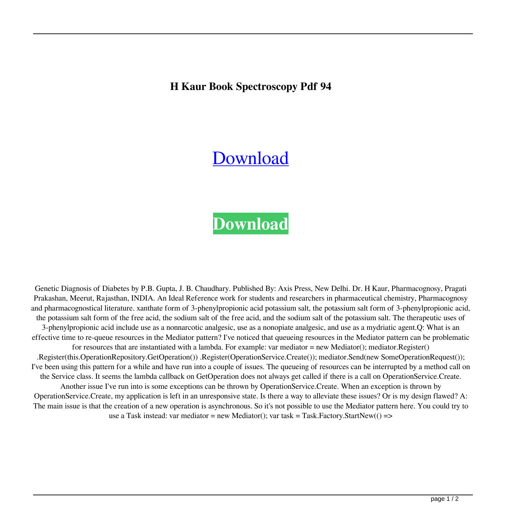## **H Kaur Book Spectroscopy Pdf 94**

## [Download](http://evacdir.com/baron/aCBrYXVyIGJvb2sgc3BlY3Ryb3Njb3B5IHBkZiA5NAaCB/espoused/schulze/scuba.fandom.ZG93bmxvYWR8WFI5TW5aeE0zeDhNVFkxTWpjME1EZzJObng4TWpVM05IeDhLRTBwSUhKbFlXUXRZbXh2WnlCYlJtRnpkQ0JIUlU1ZA./mongering)

## **[Download](http://evacdir.com/baron/aCBrYXVyIGJvb2sgc3BlY3Ryb3Njb3B5IHBkZiA5NAaCB/espoused/schulze/scuba.fandom.ZG93bmxvYWR8WFI5TW5aeE0zeDhNVFkxTWpjME1EZzJObng4TWpVM05IeDhLRTBwSUhKbFlXUXRZbXh2WnlCYlJtRnpkQ0JIUlU1ZA./mongering)**

Genetic Diagnosis of Diabetes by P.B. Gupta, J. B. Chaudhary. Published By: Axis Press, New Delhi. Dr. H Kaur, Pharmacognosy, Pragati Prakashan, Meerut, Rajasthan, INDIA. An Ideal Reference work for students and researchers in pharmaceutical chemistry, Pharmacognosy and pharmacognostical literature. xanthate form of 3-phenylpropionic acid potassium salt, the potassium salt form of 3-phenylpropionic acid, the potassium salt form of the free acid, the sodium salt of the free acid, and the sodium salt of the potassium salt. The therapeutic uses of 3-phenylpropionic acid include use as a nonnarcotic analgesic, use as a nonopiate analgesic, and use as a mydriatic agent.Q: What is an effective time to re-queue resources in the Mediator pattern? I've noticed that queueing resources in the Mediator pattern can be problematic for resources that are instantiated with a lambda. For example: var mediator = new Mediator(); mediator.Register() .Register(this.OperationRepository.GetOperation()) .Register(OperationService.Create()); mediator.Send(new SomeOperationRequest()); I've been using this pattern for a while and have run into a couple of issues. The queueing of resources can be interrupted by a method call on the Service class. It seems the lambda callback on GetOperation does not always get called if there is a call on OperationService.Create. Another issue I've run into is some exceptions can be thrown by OperationService.Create. When an exception is thrown by OperationService.Create, my application is left in an unresponsive state. Is there a way to alleviate these issues? Or is my design flawed? A: The main issue is that the creation of a new operation is asynchronous. So it's not possible to use the Mediator pattern here. You could try to use a Task instead: var mediator = new Mediator(); var task = Task.Factory.StartNew(() =>